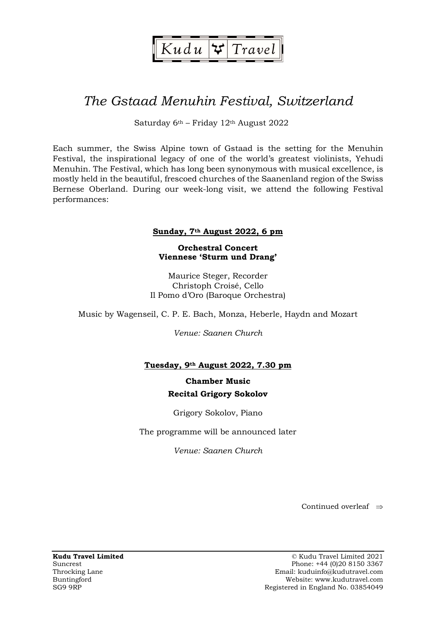

# The Gstaad Menuhin Festival, Switzerland

Saturday 6th – Friday 12th August 2022

Each summer, the Swiss Alpine town of Gstaad is the setting for the Menuhin Festival, the inspirational legacy of one of the world's greatest violinists, Yehudi Menuhin. The Festival, which has long been synonymous with musical excellence, is mostly held in the beautiful, frescoed churches of the Saanenland region of the Swiss Bernese Oberland. During our week-long visit, we attend the following Festival performances:

### Sunday, 7th August 2022, 6 pm

Orchestral Concert Viennese 'Sturm und Drang'

Maurice Steger, Recorder Christoph Croisé, Cello Il Pomo d'Oro (Baroque Orchestra)

Music by Wagenseil, C. P. E. Bach, Monza, Heberle, Haydn and Mozart

Venue: Saanen Church

# Tuesday, 9th August 2022, 7.30 pm

# Chamber Music Recital Grigory Sokolov

Grigory Sokolov, Piano

The programme will be announced later

Venue: Saanen Church

Continued overleaf  $\Rightarrow$